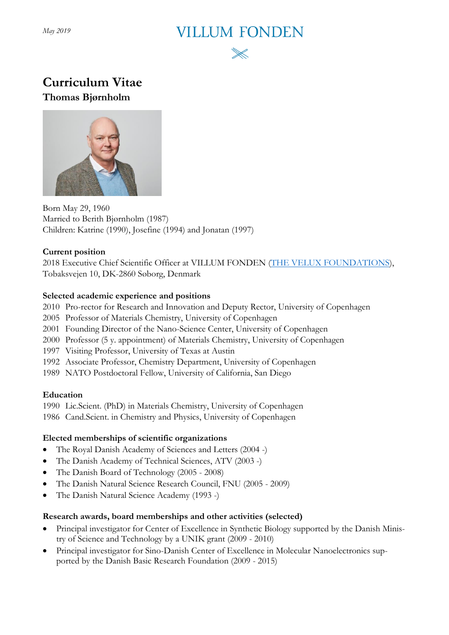*May 2019*

# **VILLUM FONDEN**



# **Curriculum Vitae Thomas Bjørnholm**



Born May 29, 1960 Married to Berith Bjørnholm (1987) Children: Katrine (1990), Josefine (1994) and Jonatan (1997)

#### **Current position**

2018 Executive Chief Scientific Officer at VILLUM FONDEN [\(THE VELUX FOUNDATIONS\)](http://veluxfoundations.dk/en), Tobaksvejen 10, DK-2860 Søborg, Denmark

## **Selected academic experience and positions**

- 2010 Pro-rector for Research and Innovation and Deputy Rector, University of Copenhagen
- 2005 Professor of Materials Chemistry, University of Copenhagen
- 2001 Founding Director of the Nano-Science Center, University of Copenhagen
- 2000 Professor (5 y. appointment) of Materials Chemistry, University of Copenhagen
- 1997 Visiting Professor, University of Texas at Austin
- 1992 Associate Professor, Chemistry Department, University of Copenhagen
- 1989 NATO Postdoctoral Fellow, University of California, San Diego

## **Education**

1990 Lic.Scient. (PhD) in Materials Chemistry, University of Copenhagen

1986 Cand.Scient. in Chemistry and Physics, University of Copenhagen

## **Elected memberships of scientific organizations**

- The Royal Danish Academy of Sciences and Letters (2004 -)
- The Danish Academy of Technical Sciences, ATV (2003 -)
- The Danish Board of Technology (2005 2008)
- The Danish Natural Science Research Council, FNU (2005 2009)
- The Danish Natural Science Academy (1993 -)

## **Research awards, board memberships and other activities (selected)**

- Principal investigator for Center of Excellence in Synthetic Biology supported by the Danish Ministry of Science and Technology by a UNIK grant (2009 - 2010)
- Principal investigator for Sino-Danish Center of Excellence in Molecular Nanoelectronics supported by the Danish Basic Research Foundation (2009 - 2015)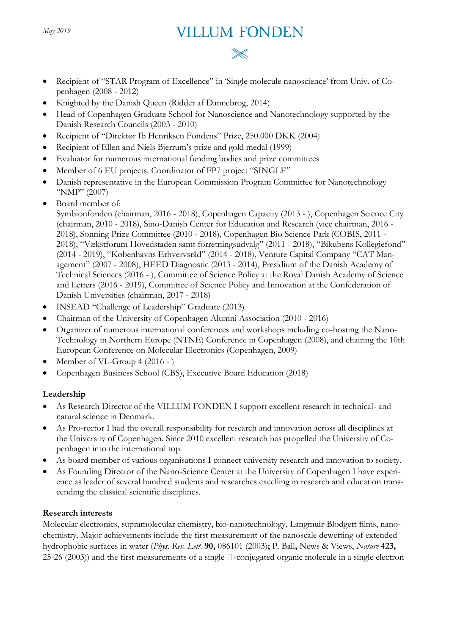# **VILLUM FONDEN**

- Recipient of "STAR Program of Excellence" in 'Single molecule nanoscience' from Univ. of Copenhagen (2008 - 2012)
- Knighted by the Danish Queen (Ridder af Dannebrog, 2014)
- Head of Copenhagen Graduate School for Nanoscience and Nanotechnology supported by the Danish Research Councils (2003 - 2010)
- Recipient of "Direktør Ib Henriksen Fondens" Prize, 250.000 DKK (2004)
- Recipient of Ellen and Niels Bjerrum's prize and gold medal (1999)
- Evaluator for numerous international funding bodies and prize committees
- Member of 6 EU projects. Coordinator of FP7 project "SINGLE"
- Danish representative in the European Commission Program Committee for Nanotechnology "NMP" (2007)
- Board member of:

Symbionfonden (chairman, 2016 - 2018), Copenhagen Capacity (2013 - ), Copenhagen Science City (chairman, 2010 - 2018), Sino-Danish Center for Education and Research (vice chairman, 2016 - 2018), Sonning Prize Committee (2010 - 2018), Copenhagen Bio Science Park (COBIS, 2011 - 2018), "Vækstforum Hovedstaden samt forretningsudvalg" (2011 - 2018), "Bikubens Kollegiefond" (2014 - 2019), "Københavns Erhvervsråd" (2014 - 2018), Venture Capital Company "CAT Management" (2007 - 2008), HEED Diagnostic (2013 - 2014), Presidium of the Danish Academy of Technical Sciences (2016 - ), Committee of Science Policy at the Royal Danish Academy of Science and Letters (2016 - 2019), Committee of Science Policy and Innovation at the Confederation of Danish Universities (chairman, 2017 - 2018)

- INSEAD "Challenge of Leadership" Graduate (2013)
- Chairman of the University of Copenhagen Alumni Association (2010 2016)
- Organizer of numerous international conferences and workshops including co-hosting the Nano-Technology in Northern Europe (NTNE) Conference in Copenhagen (2008), and chairing the 10th European Conference on Molecular Electronics (Copenhagen, 2009)
- Member of VL-Group 4 (2016 )
- Copenhagen Business School (CBS), Executive Board Education (2018)

#### **Leadership**

- As Research Director of the VILLUM FONDEN I support excellent research in technical- and natural science in Denmark.
- As Pro-rector I had the overall responsibility for research and innovation across all disciplines at the University of Copenhagen. Since 2010 excellent research has propelled the University of Copenhagen into the international top.
- As board member of various organisations I connect university research and innovation to society.
- As Founding Director of the Nano-Science Center at the University of Copenhagen I have experience as leader of several hundred students and researches excelling in research and education transcending the classical scientific disciplines.

#### **Research interests**

Molecular electronics, supramolecular chemistry, bio-nanotechnology, Langmuir-Blodgett films, nanochemistry. Major achievements include the first measurement of the nanoscale dewetting of extended hydrophobic surfaces in water (*Phys. Rev. Lett.* **90,** 086101 (2003)**;** P. Ball**,** News & Views, *Nature* **423,** 25-26 (2003)) and the first measurements of a single  $\Box$  -conjugated organic molecule in a single electron